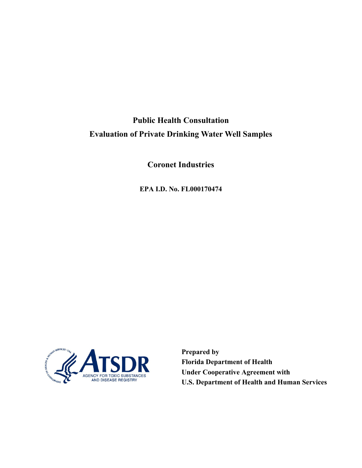**Public Health Consultation Evaluation of Private Drinking Water Well Samples** 

**Coronet Industries** 

**EPA I.D. No. FL000170474** 



**Prepared by Florida Department of Health Under Cooperative Agreement with U.S. Department of Health and Human Services**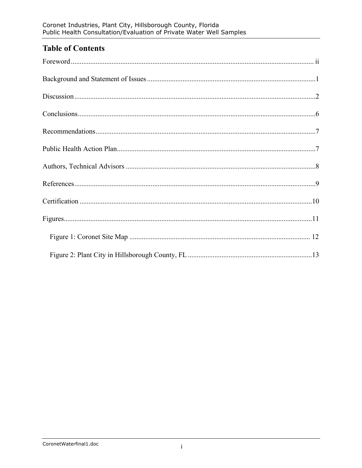## **Table of Contents**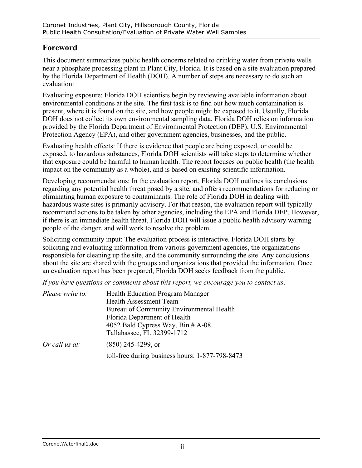## **Foreword**

This document summarizes public health concerns related to drinking water from private wells near a phosphate processing plant in Plant City, Florida. It is based on a site evaluation prepared by the Florida Department of Health (DOH). A number of steps are necessary to do such an evaluation:

Evaluating exposure: Florida DOH scientists begin by reviewing available information about environmental conditions at the site. The first task is to find out how much contamination is present, where it is found on the site, and how people might be exposed to it. Usually, Florida DOH does not collect its own environmental sampling data. Florida DOH relies on information provided by the Florida Department of Environmental Protection (DEP), U.S. Environmental Protection Agency (EPA), and other government agencies, businesses, and the public.

Evaluating health effects: If there is evidence that people are being exposed, or could be exposed, to hazardous substances, Florida DOH scientists will take steps to determine whether that exposure could be harmful to human health. The report focuses on public health (the health impact on the community as a whole), and is based on existing scientific information.

Developing recommendations: In the evaluation report, Florida DOH outlines its conclusions regarding any potential health threat posed by a site, and offers recommendations for reducing or eliminating human exposure to contaminants. The role of Florida DOH in dealing with hazardous waste sites is primarily advisory. For that reason, the evaluation report will typically recommend actions to be taken by other agencies, including the EPA and Florida DEP. However, if there is an immediate health threat, Florida DOH will issue a public health advisory warning people of the danger, and will work to resolve the problem.

Soliciting community input: The evaluation process is interactive. Florida DOH starts by soliciting and evaluating information from various government agencies, the organizations responsible for cleaning up the site, and the community surrounding the site. Any conclusions about the site are shared with the groups and organizations that provided the information. Once an evaluation report has been prepared, Florida DOH seeks feedback from the public.

*If you have questions or comments about this report, we encourage you to contact us*.

| Please write to: | <b>Health Education Program Manager</b><br><b>Health Assessment Team</b> |  |
|------------------|--------------------------------------------------------------------------|--|
|                  | Bureau of Community Environmental Health                                 |  |
|                  | Florida Department of Health                                             |  |
|                  | 4052 Bald Cypress Way, Bin $#A-08$                                       |  |
|                  | Tallahassee, FL 32399-1712                                               |  |
| Or call us at:   | $(850)$ 245-4299, or                                                     |  |
|                  | toll-free during business hours: 1-877-798-8473                          |  |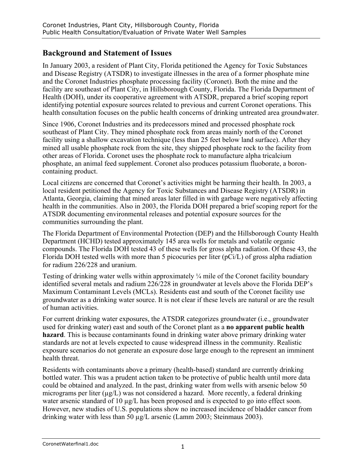## **Background and Statement of Issues**

In January 2003, a resident of Plant City, Florida petitioned the Agency for Toxic Substances and Disease Registry (ATSDR) to investigate illnesses in the area of a former phosphate mine and the Coronet Industries phosphate processing facility (Coronet). Both the mine and the facility are southeast of Plant City, in Hillsborough County, Florida. The Florida Department of Health (DOH), under its cooperative agreement with ATSDR, prepared a brief scoping report identifying potential exposure sources related to previous and current Coronet operations. This health consultation focuses on the public health concerns of drinking untreated area groundwater.

Since 1906, Coronet Industries and its predecessors mined and processed phosphate rock southeast of Plant City. They mined phosphate rock from areas mainly north of the Coronet facility using a shallow excavation technique (less than 25 feet below land surface). After they mined all usable phosphate rock from the site, they shipped phosphate rock to the facility from other areas of Florida. Coronet uses the phosphate rock to manufacture alpha tricalcium phosphate, an animal feed supplement. Coronet also produces potassium fluoborate, a boroncontaining product.

Local citizens are concerned that Coronet's activities might be harming their health. In 2003, a local resident petitioned the Agency for Toxic Substances and Disease Registry (ATSDR) in Atlanta, Georgia, claiming that mined areas later filled in with garbage were negatively affecting health in the communities. Also in 2003, the Florida DOH prepared a brief scoping report for the ATSDR documenting environmental releases and potential exposure sources for the communities surrounding the plant.

The Florida Department of Environmental Protection (DEP) and the Hillsborough County Health Department (HCHD) tested approximately 145 area wells for metals and volatile organic compounds. The Florida DOH tested 43 of these wells for gross alpha radiation. Of these 43, the Florida DOH tested wells with more than 5 picocuries per liter (pCi/L) of gross alpha radiation for radium 226/228 and uranium.

Testing of drinking water wells within approximately ¼ mile of the Coronet facility boundary identified several metals and radium 226/228 in groundwater at levels above the Florida DEP's Maximum Contaminant Levels (MCLs). Residents east and south of the Coronet facility use groundwater as a drinking water source. It is not clear if these levels are natural or are the result of human activities.

For current drinking water exposures, the ATSDR categorizes groundwater (i.e., groundwater used for drinking water) east and south of the Coronet plant as a **no apparent public health hazard**. This is because contaminants found in drinking water above primary drinking water standards are not at levels expected to cause widespread illness in the community. Realistic exposure scenarios do not generate an exposure dose large enough to the represent an imminent health threat.

Residents with contaminants above a primary (health-based) standard are currently drinking bottled water. This was a prudent action taken to be protective of public health until more data could be obtained and analyzed. In the past, drinking water from wells with arsenic below 50 micrograms per liter ( $\mu$ g/L) was not considered a hazard. More recently, a federal drinking water arsenic standard of 10  $\mu$ g/L has been proposed and is expected to go into effect soon. However, new studies of U.S. populations show no increased incidence of bladder cancer from drinking water with less than 50 µg/L arsenic (Lamm 2003; Steinmaus 2003).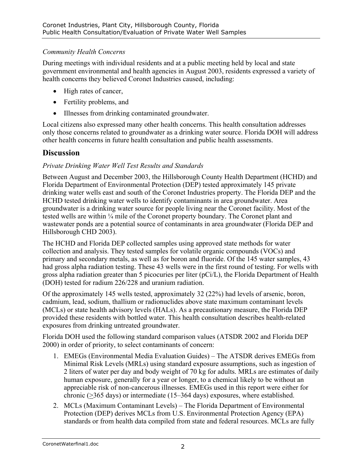### *Community Health Concerns*

During meetings with individual residents and at a public meeting held by local and state government environmental and health agencies in August 2003, residents expressed a variety of health concerns they believed Coronet Industries caused, including:

- High rates of cancer,
- Fertility problems, and
- Illnesses from drinking contaminated groundwater.

Local citizens also expressed many other health concerns. This health consultation addresses only those concerns related to groundwater as a drinking water source. Florida DOH will address other health concerns in future health consultation and public health assessments.

## **Discussion**

### *Private Drinking Water Well Test Results and Standards*

Between August and December 2003, the Hillsborough County Health Department (HCHD) and Florida Department of Environmental Protection (DEP) tested approximately 145 private drinking water wells east and south of the Coronet Industries property. The Florida DEP and the HCHD tested drinking water wells to identify contaminants in area groundwater. Area groundwater is a drinking water source for people living near the Coronet facility. Most of the tested wells are within ¼ mile of the Coronet property boundary. The Coronet plant and wastewater ponds are a potential source of contaminants in area groundwater (Florida DEP and Hillsborough CHD 2003).

The HCHD and Florida DEP collected samples using approved state methods for water collection and analysis. They tested samples for volatile organic compounds (VOCs) and primary and secondary metals, as well as for boron and fluoride. Of the 145 water samples, 43 had gross alpha radiation testing. These 43 wells were in the first round of testing. For wells with gross alpha radiation greater than 5 picocuries per liter (pCi/L), the Florida Department of Health (DOH) tested for radium 226/228 and uranium radiation.

Of the approximately 145 wells tested, approximately 32 (22%) had levels of arsenic, boron, cadmium, lead, sodium, thallium or radionuclides above state maximum contaminant levels (MCLs) or state health advisory levels (HALs). As a precautionary measure, the Florida DEP provided these residents with bottled water. This health consultation describes health-related exposures from drinking untreated groundwater.

Florida DOH used the following standard comparison values (ATSDR 2002 and Florida DEP 2000) in order of priority, to select contaminants of concern:

- 1. EMEGs (Environmental Media Evaluation Guides) The ATSDR derives EMEGs from Minimal Risk Levels (MRLs) using standard exposure assumptions, such as ingestion of 2 liters of water per day and body weight of 70 kg for adults. MRLs are estimates of daily human exposure, generally for a year or longer, to a chemical likely to be without an appreciable risk of non-cancerous illnesses. EMEGs used in this report were either for chronic (>365 days) or intermediate (15–364 days) exposures, where established.
- 2. MCLs (Maximum Contaminant Levels) The Florida Department of Environmental Protection (DEP) derives MCLs from U.S. Environmental Protection Agency (EPA) standards or from health data compiled from state and federal resources. MCLs are fully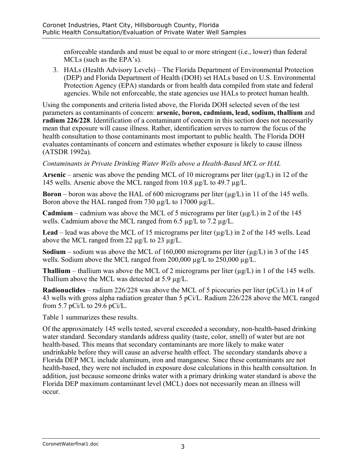enforceable standards and must be equal to or more stringent (i.e., lower) than federal MCLs (such as the EPA's).

3. HALs (Health Advisory Levels) – The Florida Department of Environmental Protection (DEP) and Florida Department of Health (DOH) set HALs based on U.S. Environmental Protection Agency (EPA) standards or from health data compiled from state and federal agencies. While not enforceable, the state agencies use HALs to protect human health.

Using the components and criteria listed above, the Florida DOH selected seven of the test parameters as contaminants of concern: **arsenic, boron, cadmium, lead, sodium, thallium** and **radium 226/228**. Identification of a contaminant of concern in this section does not necessarily mean that exposure will cause illness. Rather, identification serves to narrow the focus of the health consultation to those contaminants most important to public health. The Florida DOH evaluates contaminants of concern and estimates whether exposure is likely to cause illness (ATSDR 1992a).

*Contaminants in Private Drinking Water Wells above a Health-Based MCL or HAL* 

**Arsenic** – arsenic was above the pending MCL of 10 micrograms per liter  $(\mu g/L)$  in 12 of the 145 wells. Arsenic above the MCL ranged from 10.8 µg/L to 49.7 µg/L.

**Boron** – boron was above the HAL of 600 micrograms per liter ( $\mu$ g/L) in 11 of the 145 wells. Boron above the HAL ranged from 730  $\mu$ g/L to 17000  $\mu$ g/L.

**Cadmium** – cadmium was above the MCL of 5 micrograms per liter ( $\mu$ g/L) in 2 of the 145 wells. Cadmium above the MCL ranged from 6.5  $\mu$ g/L to 7.2  $\mu$ g/L.

**Lead** – lead was above the MCL of 15 micrograms per liter  $(\mu g/L)$  in 2 of the 145 wells. Lead above the MCL ranged from 22 µg/L to 23 µg/L.

**Sodium** – sodium was above the MCL of 160,000 micrograms per liter  $(\mu g/L)$  in 3 of the 145 wells. Sodium above the MCL ranged from 200,000 µg/L to 250,000 µg/L.

**Thallium** – thallium was above the MCL of 2 micrograms per liter  $(\mu g/L)$  in 1 of the 145 wells. Thallium above the MCL was detected at 5.9 µg/L.

**Radionuclides** – radium 226/228 was above the MCL of 5 picocuries per liter (pCi/L) in 14 of 43 wells with gross alpha radiation greater than 5 pCi/L. Radium 226/228 above the MCL ranged from 5.7 pCi/L to 29.6 pCi/L.

Table 1 summarizes these results.

Of the approximately 145 wells tested, several exceeded a secondary, non-health-based drinking water standard. Secondary standards address quality (taste, color, smell) of water but are not health-based. This means that secondary contaminants are more likely to make water undrinkable before they will cause an adverse health effect. The secondary standards above a Florida DEP MCL include aluminum, iron and manganese. Since these contaminants are not health-based, they were not included in exposure dose calculations in this health consultation. In addition, just because someone drinks water with a primary drinking water standard is above the Florida DEP maximum contaminant level (MCL) does not necessarily mean an illness will occur.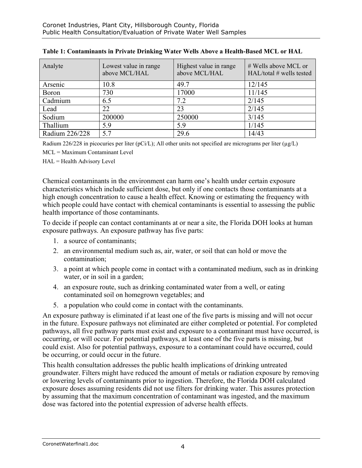| Analyte        | Lowest value in range<br>above MCL/HAL | Highest value in range<br>above MCL/HAL | # Wells above MCL or<br>$HAL/total$ # wells tested |
|----------------|----------------------------------------|-----------------------------------------|----------------------------------------------------|
| Arsenic        | 10.8                                   | 49.7                                    | 12/145                                             |
| <b>Boron</b>   | 730                                    | 17000                                   | 11/145                                             |
| Cadmium        | 6.5                                    | 7.2                                     | 2/145                                              |
| Lead           | 22                                     | 23                                      | 2/145                                              |
| Sodium         | 200000                                 | 250000                                  | 3/145                                              |
| Thallium       | 5.9                                    | 5.9                                     | 1/145                                              |
| Radium 226/228 | 5.7                                    | 29.6                                    | 14/43                                              |

| Table 1: Contaminants in Private Drinking Water Wells Above a Health-Based MCL or HAL |  |
|---------------------------------------------------------------------------------------|--|
|---------------------------------------------------------------------------------------|--|

Radium 226/228 in picocuries per liter (pCi/L); All other units not specified are micrograms per liter ( $\mu$ g/L)

MCL = Maximum Contaminant Level

HAL = Health Advisory Level

Chemical contaminants in the environment can harm one's health under certain exposure characteristics which include sufficient dose, but only if one contacts those contaminants at a high enough concentration to cause a health effect. Knowing or estimating the frequency with which people could have contact with chemical contaminants is essential to assessing the public health importance of those contaminants.

To decide if people can contact contaminants at or near a site, the Florida DOH looks at human exposure pathways. An exposure pathway has five parts:

- 1. a source of contaminants;
- 2. an environmental medium such as, air, water, or soil that can hold or move the contamination;
- 3. a point at which people come in contact with a contaminated medium, such as in drinking water, or in soil in a garden;
- 4. an exposure route, such as drinking contaminated water from a well, or eating contaminated soil on homegrown vegetables; and
- 5. a population who could come in contact with the contaminants.

An exposure pathway is eliminated if at least one of the five parts is missing and will not occur in the future. Exposure pathways not eliminated are either completed or potential. For completed pathways, all five pathway parts must exist and exposure to a contaminant must have occurred, is occurring, or will occur. For potential pathways, at least one of the five parts is missing, but could exist. Also for potential pathways, exposure to a contaminant could have occurred, could be occurring, or could occur in the future.

This health consultation addresses the public health implications of drinking untreated groundwater. Filters might have reduced the amount of metals or radiation exposure by removing or lowering levels of contaminants prior to ingestion. Therefore, the Florida DOH calculated exposure doses assuming residents did not use filters for drinking water. This assures protection by assuming that the maximum concentration of contaminant was ingested, and the maximum dose was factored into the potential expression of adverse health effects.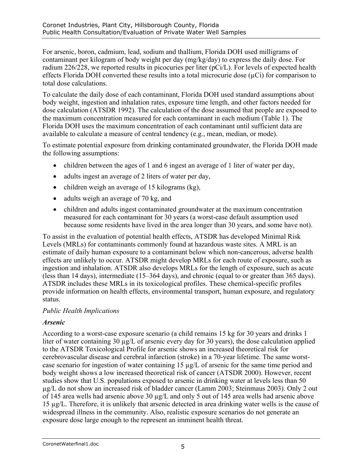For arsenic, boron, cadmium, lead, sodium and thallium, Florida DOH used milligrams of contaminant per kilogram of body weight per day (mg/kg/day) to express the daily dose. For radium 226/228, we reported results in picocuries per liter (pCi/L). For levels of expected health effects Florida DOH converted these results into a total microcurie dose  $(\mu$ Ci) for comparison to total dose calculations.

To calculate the daily dose of each contaminant, Florida DOH used standard assumptions about body weight, ingestion and inhalation rates, exposure time length, and other factors needed for dose calculation (ATSDR 1992). The calculation of the dose assumed that people are exposed to the maximum concentration measured for each contaminant in each medium (Table 1). The Florida DOH uses the maximum concentration of each contaminant until sufficient data are available to calculate a measure of central tendency (e.g., mean, median, or mode).

To estimate potential exposure from drinking contaminated groundwater, the Florida DOH made the following assumptions:

- children between the ages of 1 and 6 ingest an average of 1 liter of water per day,
- adults ingest an average of 2 liters of water per day,
- children weigh an average of 15 kilograms (kg),
- adults weigh an average of 70 kg, and
- children and adults ingest contaminated groundwater at the maximum concentration measured for each contaminant for 30 years (a worst-case default assumption used because some residents have lived in the area longer than 30 years, and some have not).

To assist in the evaluation of potential health effects, ATSDR has developed Minimal Risk Levels (MRLs) for contaminants commonly found at hazardous waste sites. A MRL is an estimate of daily human exposure to a contaminant below which non-cancerous, adverse health effects are unlikely to occur. ATSDR might develop MRLs for each route of exposure, such as ingestion and inhalation. ATSDR also develops MRLs for the length of exposure, such as acute (less than 14 days), intermediate (15–364 days), and chronic (equal to or greater than 365 days). ATSDR includes these MRLs in its toxicological profiles. These chemical-specific profiles provide information on health effects, environmental transport, human exposure, and regulatory status.

#### *Public Health Implications*

#### *Arsenic*

According to a worst-case exposure scenario (a child remains 15 kg for 30 years and drinks 1 liter of water containing 30 µg/L of arsenic every day for 30 years), the dose calculation applied to the ATSDR Toxicological Profile for arsenic shows an increased theoretical risk for cerebrovascular disease and cerebral infarction (stroke) in a 70-year lifetime. The same worstcase scenario for ingestion of water containing 15 µg/L of arsenic for the same time period and body weight shows a low increased theoretical risk of cancer (ATSDR 2000). However, recent studies show that U.S. populations exposed to arsenic in drinking water at levels less than 50 µg/L do not show an increased risk of bladder cancer (Lamm 2003; Steinmaus 2003). Only 2 out of 145 area wells had arsenic above 30 µg/L and only 5 out of 145 area wells had arsenic above 15 µg/L. Therefore, it is unlikely that arsenic detected in area drinking water wells is the cause of widespread illness in the community. Also, realistic exposure scenarios do not generate an exposure dose large enough to the represent an imminent health threat.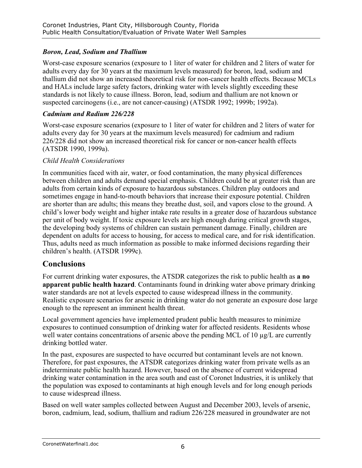### *Boron, Lead, Sodium and Thallium*

Worst-case exposure scenarios (exposure to 1 liter of water for children and 2 liters of water for adults every day for 30 years at the maximum levels measured) for boron, lead, sodium and thallium did not show an increased theoretical risk for non-cancer health effects. Because MCLs and HALs include large safety factors, drinking water with levels slightly exceeding these standards is not likely to cause illness. Boron, lead, sodium and thallium are not known or suspected carcinogens (i.e., are not cancer-causing) (ATSDR 1992; 1999b; 1992a).

#### *Cadmium and Radium 226/228*

Worst-case exposure scenarios (exposure to 1 liter of water for children and 2 liters of water for adults every day for 30 years at the maximum levels measured) for cadmium and radium 226/228 did not show an increased theoretical risk for cancer or non-cancer health effects (ATSDR 1990, 1999a).

#### *Child Health Considerations*

In communities faced with air, water, or food contamination, the many physical differences between children and adults demand special emphasis. Children could be at greater risk than are adults from certain kinds of exposure to hazardous substances. Children play outdoors and sometimes engage in hand-to-mouth behaviors that increase their exposure potential. Children are shorter than are adults; this means they breathe dust, soil, and vapors close to the ground. A child's lower body weight and higher intake rate results in a greater dose of hazardous substance per unit of body weight. If toxic exposure levels are high enough during critical growth stages, the developing body systems of children can sustain permanent damage. Finally, children are dependent on adults for access to housing, for access to medical care, and for risk identification. Thus, adults need as much information as possible to make informed decisions regarding their children's health. (ATSDR 1999c).

### **Conclusions**

For current drinking water exposures, the ATSDR categorizes the risk to public health as **a no apparent public health hazard**. Contaminants found in drinking water above primary drinking water standards are not at levels expected to cause widespread illness in the community. Realistic exposure scenarios for arsenic in drinking water do not generate an exposure dose large enough to the represent an imminent health threat.

Local government agencies have implemented prudent public health measures to minimize exposures to continued consumption of drinking water for affected residents. Residents whose well water contains concentrations of arsenic above the pending MCL of 10  $\mu$ g/L are currently drinking bottled water.

In the past, exposures are suspected to have occurred but contaminant levels are not known. Therefore, for past exposures, the ATSDR categorizes drinking water from private wells as an indeterminate public health hazard. However, based on the absence of current widespread drinking water contamination in the area south and east of Coronet Industries, it is unlikely that the population was exposed to contaminants at high enough levels and for long enough periods to cause widespread illness.

Based on well water samples collected between August and December 2003, levels of arsenic, boron, cadmium, lead, sodium, thallium and radium 226/228 measured in groundwater are not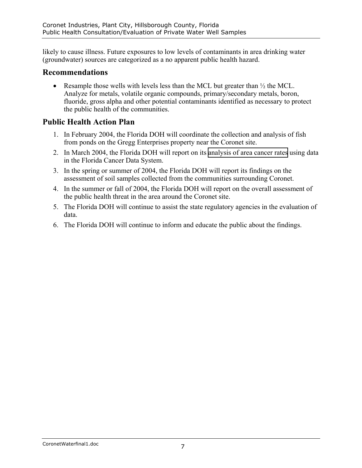likely to cause illness. Future exposures to low levels of contaminants in area drinking water (groundwater) sources are categorized as a no apparent public health hazard.

### **Recommendations**

• Resample those wells with levels less than the MCL but greater than  $\frac{1}{2}$  the MCL. Analyze for metals, volatile organic compounds, primary/secondary metals, boron, fluoride, gross alpha and other potential contaminants identified as necessary to protect the public health of the communities.

## **Public Health Action Plan**

- 1. In February 2004, the Florida DOH will coordinate the collection and analysis of fish from ponds on the Gregg Enterprises property near the Coronet site.
- 2. In March 2004, the Florida DOH will report on its [analysis of area cancer rates](http://hazwastework.doh.state.fl.us/CoronetDocs/Coronet-Cancer-Rpt.pdf) using data in the Florida Cancer Data System.
- 3. In the spring or summer of 2004, the Florida DOH will report its findings on the assessment of soil samples collected from the communities surrounding Coronet.
- 4. In the summer or fall of 2004, the Florida DOH will report on the overall assessment of the public health threat in the area around the Coronet site.
- 5. The Florida DOH will continue to assist the state regulatory agencies in the evaluation of data.
- 6. The Florida DOH will continue to inform and educate the public about the findings.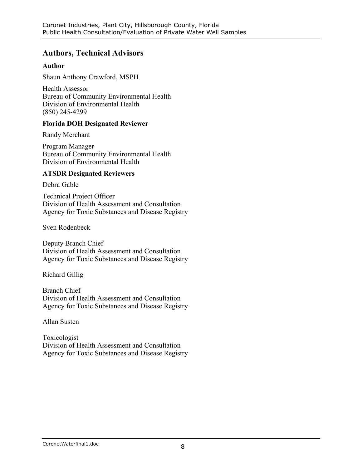## **Authors, Technical Advisors**

#### **Author**

Shaun Anthony Crawford, MSPH

Health Assessor Bureau of Community Environmental Health Division of Environmental Health (850) 245-4299

#### **Florida DOH Designated Reviewer**

Randy Merchant

Program Manager Bureau of Community Environmental Health Division of Environmental Health

#### **ATSDR Designated Reviewers**

Debra Gable

Technical Project Officer Division of Health Assessment and Consultation Agency for Toxic Substances and Disease Registry

Sven Rodenbeck

Deputy Branch Chief Division of Health Assessment and Consultation Agency for Toxic Substances and Disease Registry

Richard Gillig

Branch Chief Division of Health Assessment and Consultation Agency for Toxic Substances and Disease Registry

Allan Susten

Toxicologist Division of Health Assessment and Consultation Agency for Toxic Substances and Disease Registry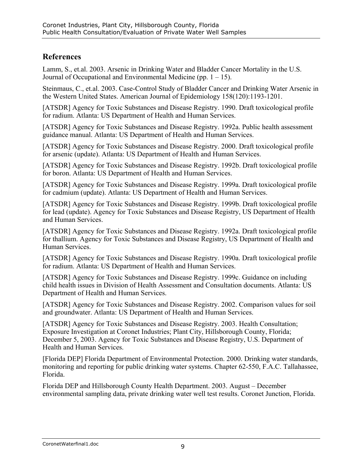## **References**

Lamm, S., et.al. 2003. Arsenic in Drinking Water and Bladder Cancer Mortality in the U.S. Journal of Occupational and Environmental Medicine (pp.  $1 - 15$ ).

Steinmaus, C., et.al. 2003. Case-Control Study of Bladder Cancer and Drinking Water Arsenic in the Western United States. American Journal of Epidemiology 158(120):1193-1201.

[ATSDR] Agency for Toxic Substances and Disease Registry. 1990. Draft toxicological profile for radium. Atlanta: US Department of Health and Human Services.

[ATSDR] Agency for Toxic Substances and Disease Registry. 1992a. Public health assessment guidance manual. Atlanta: US Department of Health and Human Services.

[ATSDR] Agency for Toxic Substances and Disease Registry. 2000. Draft toxicological profile for arsenic (update). Atlanta: US Department of Health and Human Services.

[ATSDR] Agency for Toxic Substances and Disease Registry. 1992b. Draft toxicological profile for boron. Atlanta: US Department of Health and Human Services.

[ATSDR] Agency for Toxic Substances and Disease Registry. 1999a. Draft toxicological profile for cadmium (update). Atlanta: US Department of Health and Human Services.

[ATSDR] Agency for Toxic Substances and Disease Registry. 1999b. Draft toxicological profile for lead (update). Agency for Toxic Substances and Disease Registry, US Department of Health and Human Services.

[ATSDR] Agency for Toxic Substances and Disease Registry. 1992a. Draft toxicological profile for thallium. Agency for Toxic Substances and Disease Registry, US Department of Health and Human Services.

[ATSDR] Agency for Toxic Substances and Disease Registry. 1990a. Draft toxicological profile for radium. Atlanta: US Department of Health and Human Services.

[ATSDR] Agency for Toxic Substances and Disease Registry. 1999c. Guidance on including child health issues in Division of Health Assessment and Consultation documents. Atlanta: US Department of Health and Human Services.

[ATSDR] Agency for Toxic Substances and Disease Registry. 2002. Comparison values for soil and groundwater. Atlanta: US Department of Health and Human Services.

[ATSDR] Agency for Toxic Substances and Disease Registry. 2003. Health Consultation; Exposure Investigation at Coronet Industries; Plant City, Hillsborough County, Florida; December 5, 2003. Agency for Toxic Substances and Disease Registry, U.S. Department of Health and Human Services.

[Florida DEP] Florida Department of Environmental Protection. 2000. Drinking water standards, monitoring and reporting for public drinking water systems. Chapter 62-550, F.A.C. Tallahassee, Florida.

Florida DEP and Hillsborough County Health Department. 2003. August – December environmental sampling data, private drinking water well test results. Coronet Junction, Florida.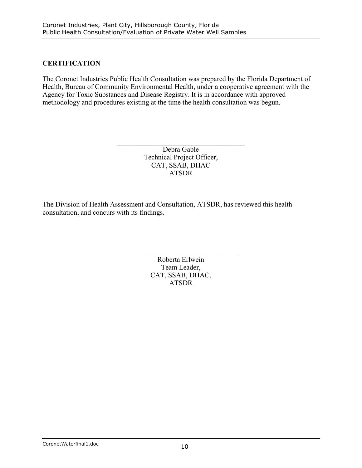### **CERTIFICATION**

The Coronet Industries Public Health Consultation was prepared by the Florida Department of Health, Bureau of Community Environmental Health, under a cooperative agreement with the Agency for Toxic Substances and Disease Registry. It is in accordance with approved methodology and procedures existing at the time the health consultation was begun.

> Debra Gable Technical Project Officer, CAT, SSAB, DHAC ATSDR

 $\mathcal{L}_\text{max}$  , and the set of the set of the set of the set of the set of the set of the set of the set of the set of the set of the set of the set of the set of the set of the set of the set of the set of the set of the

The Division of Health Assessment and Consultation, ATSDR, has reviewed this health consultation, and concurs with its findings.

> Roberta Erlwein Team Leader, CAT, SSAB, DHAC, ATSDR

 $\mathcal{L}_\text{max}$  , where  $\mathcal{L}_\text{max}$  and  $\mathcal{L}_\text{max}$  and  $\mathcal{L}_\text{max}$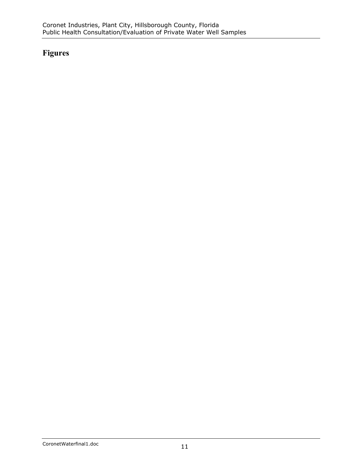# **Figures**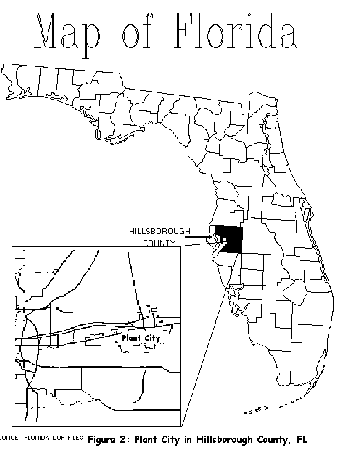

<sup>)URCE: FLORIDA DOH FILES</sup> **Figure 2: Plant City in Hillsborough County, FL**